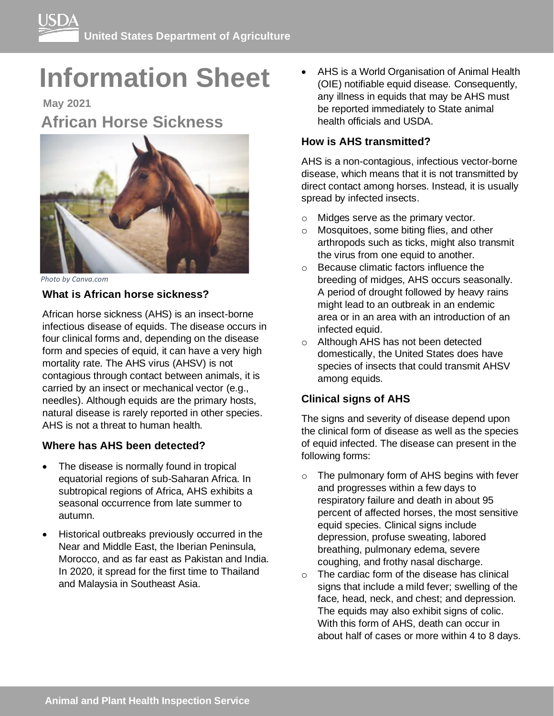# **Information Sheet**

**May 2021 African Horse Sickness**



*Photo by Canva.com* 

# **What is African horse sickness?**

African horse sickness (AHS) is an insect-borne infectious disease of equids. The disease occurs in four clinical forms and, depending on the disease form and species of equid, it can have a very high mortality rate. The AHS virus (AHSV) is not contagious through contact between animals, it is carried by an insect or mechanical vector (e.g., needles). Although equids are the primary hosts, natural disease is rarely reported in other species. AHS is not a threat to human health.

# **Where has AHS been detected?**

- The disease is normally found in tropical equatorial regions of sub-Saharan Africa. In subtropical regions of Africa, AHS exhibits a seasonal occurrence from late summer to autumn.
- Historical outbreaks previously occurred in the Near and Middle East, the Iberian Peninsula, Morocco, and as far east as Pakistan and India. In 2020, it spread for the first time to Thailand and Malaysia in Southeast Asia.

• AHS is a World Organisation of Animal Health (OIE) notifiable equid disease. Consequently, any illness in equids that may be AHS must be reported immediately to State animal health officials and USDA.

# **How is AHS transmitted?**

AHS is a non-contagious, infectious vector-borne disease, which means that it is not transmitted by direct contact among horses. Instead, it is usually spread by infected insects.

- o Midges serve as the primary vector.
- o Mosquitoes, some biting flies, and other arthropods such as ticks, might also transmit the virus from one equid to another.
- o Because climatic factors influence the breeding of midges, AHS occurs seasonally. A period of drought followed by heavy rains might lead to an outbreak in an endemic area or in an area with an introduction of an infected equid.
- o Although AHS has not been detected domestically, the United States does have species of insects that could transmit AHSV among equids.

# **Clinical signs of AHS**

The signs and severity of disease depend upon the clinical form of disease as well as the species of equid infected. The disease can present in the following forms:

- o The pulmonary form of AHS begins with fever and progresses within a few days to respiratory failure and death in about 95 percent of affected horses, the most sensitive equid species. Clinical signs include depression, profuse sweating, labored breathing, pulmonary edema, severe coughing, and frothy nasal discharge.
- o The cardiac form of the disease has clinical signs that include a mild fever; swelling of the face, head, neck, and chest; and depression. The equids may also exhibit signs of colic. With this form of AHS, death can occur in about half of cases or more within 4 to 8 days.